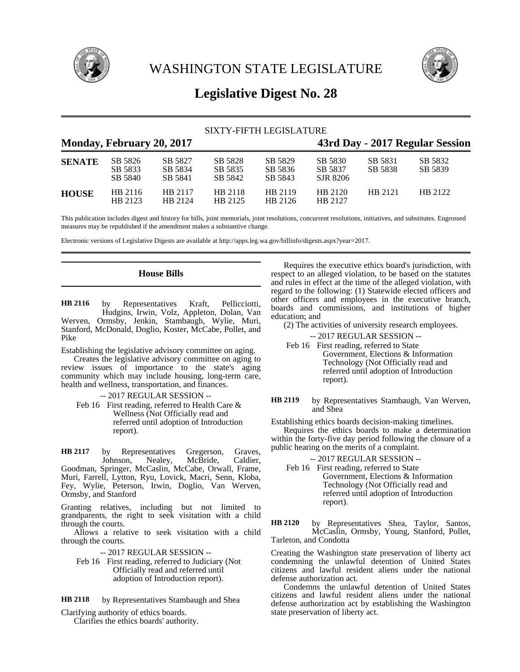

WASHINGTON STATE LEGISLATURE



# **Legislative Digest No. 28**

| SIXTY-FIFTH LEGISLATURE |                               |                               |                               |                               |                                 |                    |                    |
|-------------------------|-------------------------------|-------------------------------|-------------------------------|-------------------------------|---------------------------------|--------------------|--------------------|
|                         | Monday, February 20, 2017     |                               |                               |                               | 43rd Day - 2017 Regular Session |                    |                    |
| <b>SENATE</b>           | SB 5826<br>SB 5833<br>SB 5840 | SB 5827<br>SB 5834<br>SB 5841 | SB 5828<br>SB 5835<br>SB 5842 | SB 5829<br>SB 5836<br>SB 5843 | SB 5830<br>SB 5837<br>SJR 8206  | SB 5831<br>SB 5838 | SB 5832<br>SB 5839 |
| <b>HOUSE</b>            | HB 2116<br>HB 2123            | HB 2117<br>HB 2124            | HB 2118<br>HB 2125            | HB 2119<br>HB 2126            | HB 2120<br>HB 2127              | HB 2121            | HB 2122            |

This publication includes digest and history for bills, joint memorials, joint resolutions, concurrent resolutions, initiatives, and substitutes. Engrossed measures may be republished if the amendment makes a substantive change.

education; and

Electronic versions of Legislative Digests are available at http://apps.leg.wa.gov/billinfo/digests.aspx?year=2017.

# **House Bills**

by Representatives Kraft, Pellicciotti, Hudgins, Irwin, Volz, Appleton, Dolan, Van Werven, Ormsby, Jenkin, Stambaugh, Wylie, Muri, Stanford, McDonald, Doglio, Koster, McCabe, Pollet, and Pike **HB 2116**

Establishing the legislative advisory committee on aging.

Creates the legislative advisory committee on aging to review issues of importance to the state's aging community which may include housing, long-term care, health and wellness, transportation, and finances.

-- 2017 REGULAR SESSION --

Feb 16 First reading, referred to Health Care & Wellness (Not Officially read and referred until adoption of Introduction report).

by Representatives Gregerson, Graves,<br>Johnson, Nealey, McBride, Caldier, Nealey, McBride, Caldier, Goodman, Springer, McCaslin, McCabe, Orwall, Frame, Muri, Farrell, Lytton, Ryu, Lovick, Macri, Senn, Kloba, Fey, Wylie, Peterson, Irwin, Doglio, Van Werven, Ormsby, and Stanford **HB 2117**

Granting relatives, including but not limited to grandparents, the right to seek visitation with a child through the courts.

Allows a relative to seek visitation with a child through the courts.

-- 2017 REGULAR SESSION --

Feb 16 First reading, referred to Judiciary (Not Officially read and referred until adoption of Introduction report).

by Representatives Stambaugh and Shea **HB 2118**

Clarifying authority of ethics boards. Clarifies the ethics boards' authority.

Requires the executive ethics board's jurisdiction, with respect to an alleged violation, to be based on the statutes and rules in effect at the time of the alleged violation, with regard to the following: (1) Statewide elected officers and other officers and employees in the executive branch, boards and commissions, and institutions of higher

(2) The activities of university research employees.

- -- 2017 REGULAR SESSION --
- Feb 16 First reading, referred to State Government, Elections & Information Technology (Not Officially read and referred until adoption of Introduction report).

by Representatives Stambaugh, Van Werven, and Shea **HB 2119**

Establishing ethics boards decision-making timelines.

Requires the ethics boards to make a determination within the forty-five day period following the closure of a public hearing on the merits of a complaint.

-- 2017 REGULAR SESSION --

Feb 16 First reading, referred to State Government, Elections & Information Technology (Not Officially read and referred until adoption of Introduction report).

by Representatives Shea, Taylor, Santos, McCaslin, Ormsby, Young, Stanford, Pollet, Tarleton, and Condotta **HB 2120**

Creating the Washington state preservation of liberty act condemning the unlawful detention of United States citizens and lawful resident aliens under the national defense authorization act.

Condemns the unlawful detention of United States citizens and lawful resident aliens under the national defense authorization act by establishing the Washington state preservation of liberty act.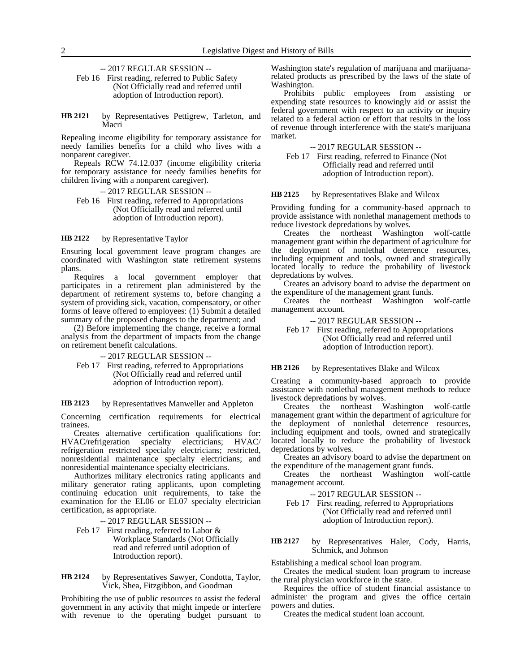-- 2017 REGULAR SESSION --

Feb 16 First reading, referred to Public Safety (Not Officially read and referred until adoption of Introduction report).

by Representatives Pettigrew, Tarleton, and Macri **HB 2121**

Repealing income eligibility for temporary assistance for needy families benefits for a child who lives with a nonparent caregiver.

Repeals RCW 74.12.037 (income eligibility criteria for temporary assistance for needy families benefits for children living with a nonparent caregiver).

-- 2017 REGULAR SESSION --

Feb 16 First reading, referred to Appropriations (Not Officially read and referred until adoption of Introduction report).

by Representative Taylor **HB 2122**

Ensuring local government leave program changes are coordinated with Washington state retirement systems plans.

Requires a local government employer that participates in a retirement plan administered by the department of retirement systems to, before changing a system of providing sick, vacation, compensatory, or other forms of leave offered to employees: (1) Submit a detailed summary of the proposed changes to the department; and

(2) Before implementing the change, receive a formal analysis from the department of impacts from the change on retirement benefit calculations.

-- 2017 REGULAR SESSION --

Feb 17 First reading, referred to Appropriations (Not Officially read and referred until adoption of Introduction report).

by Representatives Manweller and Appleton **HB 2123**

Concerning certification requirements for electrical trainees.

Creates alternative certification qualifications for: HVAC/refrigeration specialty electricians; HVAC/ refrigeration restricted specialty electricians; restricted, nonresidential maintenance specialty electricians; and nonresidential maintenance specialty electricians.

Authorizes military electronics rating applicants and military generator rating applicants, upon completing continuing education unit requirements, to take the examination for the EL06 or EL07 specialty electrician certification, as appropriate.

-- 2017 REGULAR SESSION --

Feb 17 First reading, referred to Labor & Workplace Standards (Not Officially read and referred until adoption of Introduction report).

### by Representatives Sawyer, Condotta, Taylor, Vick, Shea, Fitzgibbon, and Goodman **HB 2124**

Prohibiting the use of public resources to assist the federal government in any activity that might impede or interfere with revenue to the operating budget pursuant to Washington state's regulation of marijuana and marijuanarelated products as prescribed by the laws of the state of Washington.

Prohibits public employees from assisting or expending state resources to knowingly aid or assist the federal government with respect to an activity or inquiry related to a federal action or effort that results in the loss of revenue through interference with the state's marijuana market.

-- 2017 REGULAR SESSION --

Feb 17 First reading, referred to Finance (Not Officially read and referred until adoption of Introduction report).

by Representatives Blake and Wilcox **HB 2125**

Providing funding for a community-based approach to provide assistance with nonlethal management methods to reduce livestock depredations by wolves.

Creates the northeast Washington wolf-cattle management grant within the department of agriculture for the deployment of nonlethal deterrence resources, including equipment and tools, owned and strategically located locally to reduce the probability of livestock depredations by wolves.

Creates an advisory board to advise the department on the expenditure of the management grant funds.

Creates the northeast Washington wolf-cattle management account.

-- 2017 REGULAR SESSION --

Feb 17 First reading, referred to Appropriations (Not Officially read and referred until adoption of Introduction report).

#### by Representatives Blake and Wilcox **HB 2126**

Creating a community-based approach to provide assistance with nonlethal management methods to reduce livestock depredations by wolves.

Creates the northeast Washington wolf-cattle management grant within the department of agriculture for the deployment of nonlethal deterrence resources, including equipment and tools, owned and strategically located locally to reduce the probability of livestock depredations by wolves.

Creates an advisory board to advise the department on the expenditure of the management grant funds.

Creates the northeast Washington wolf-cattle management account.

-- 2017 REGULAR SESSION --

Feb 17 First reading, referred to Appropriations (Not Officially read and referred until adoption of Introduction report).

by Representatives Haler, Cody, Harris, Schmick, and Johnson **HB 2127**

Establishing a medical school loan program.

Creates the medical student loan program to increase the rural physician workforce in the state.

Requires the office of student financial assistance to administer the program and gives the office certain powers and duties.

Creates the medical student loan account.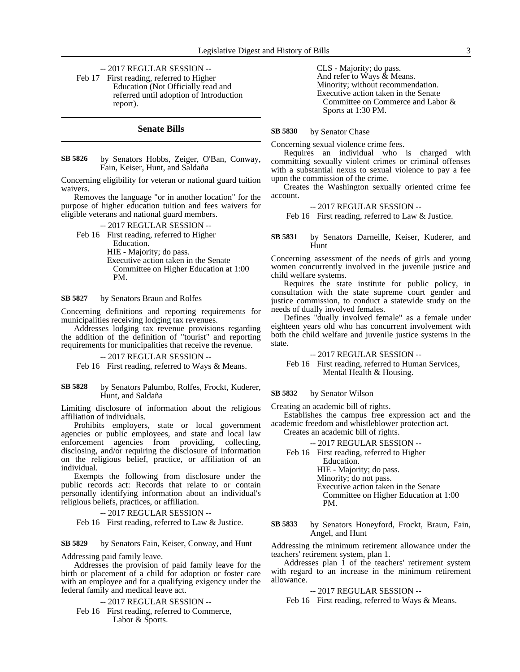-- 2017 REGULAR SESSION --

Feb 17 First reading, referred to Higher Education (Not Officially read and referred until adoption of Introduction report).

## **Senate Bills**

by Senators Hobbs, Zeiger, O'Ban, Conway, Fain, Keiser, Hunt, and Saldaña **SB 5826**

Concerning eligibility for veteran or national guard tuition waivers.

Removes the language "or in another location" for the purpose of higher education tuition and fees waivers for eligible veterans and national guard members.

-- 2017 REGULAR SESSION --

Feb 16 First reading, referred to Higher Education. HIE - Majority; do pass. Executive action taken in the Senate Committee on Higher Education at 1:00

by Senators Braun and Rolfes **SB 5827**

PM.

Concerning definitions and reporting requirements for municipalities receiving lodging tax revenues.

Addresses lodging tax revenue provisions regarding the addition of the definition of "tourist" and reporting requirements for municipalities that receive the revenue.

-- 2017 REGULAR SESSION --

Feb 16 First reading, referred to Ways & Means.

by Senators Palumbo, Rolfes, Frockt, Kuderer, Hunt, and Saldaña **SB 5828**

Limiting disclosure of information about the religious affiliation of individuals.

Prohibits employers, state or local government agencies or public employees, and state and local law enforcement agencies from providing, collecting, disclosing, and/or requiring the disclosure of information on the religious belief, practice, or affiliation of an individual.

Exempts the following from disclosure under the public records act: Records that relate to or contain personally identifying information about an individual's religious beliefs, practices, or affiliation.

-- 2017 REGULAR SESSION --

Feb 16 First reading, referred to Law & Justice.

by Senators Fain, Keiser, Conway, and Hunt **SB 5829**

Addressing paid family leave.

Addresses the provision of paid family leave for the birth or placement of a child for adoption or foster care with an employee and for a qualifying exigency under the federal family and medical leave act.

-- 2017 REGULAR SESSION --

Feb 16 First reading, referred to Commerce, Labor & Sports.

CLS - Majority; do pass. And refer to Ways & Means. Minority; without recommendation. Executive action taken in the Senate Committee on Commerce and Labor & Sports at 1:30 PM.

#### by Senator Chase **SB 5830**

Concerning sexual violence crime fees.

Requires an individual who is charged with committing sexually violent crimes or criminal offenses with a substantial nexus to sexual violence to pay a fee upon the commission of the crime.

Creates the Washington sexually oriented crime fee account.

### -- 2017 REGULAR SESSION --

Feb 16 First reading, referred to Law & Justice.

by Senators Darneille, Keiser, Kuderer, and Hunt **SB 5831**

Concerning assessment of the needs of girls and young women concurrently involved in the juvenile justice and child welfare systems.

Requires the state institute for public policy, in consultation with the state supreme court gender and justice commission, to conduct a statewide study on the needs of dually involved females.

Defines "dually involved female" as a female under eighteen years old who has concurrent involvement with both the child welfare and juvenile justice systems in the state.

-- 2017 REGULAR SESSION --

Feb 16 First reading, referred to Human Services, Mental Health & Housing.

#### by Senator Wilson **SB 5832**

Creating an academic bill of rights.

Establishes the campus free expression act and the academic freedom and whistleblower protection act. Creates an academic bill of rights.

-- 2017 REGULAR SESSION --

Feb 16 First reading, referred to Higher Education.

HIE - Majority; do pass. Minority; do not pass. Executive action taken in the Senate Committee on Higher Education at 1:00 PM.

by Senators Honeyford, Frockt, Braun, Fain, Angel, and Hunt **SB 5833**

Addressing the minimum retirement allowance under the teachers' retirement system, plan 1.

Addresses plan 1 of the teachers' retirement system with regard to an increase in the minimum retirement allowance.

### -- 2017 REGULAR SESSION --

Feb 16 First reading, referred to Ways & Means.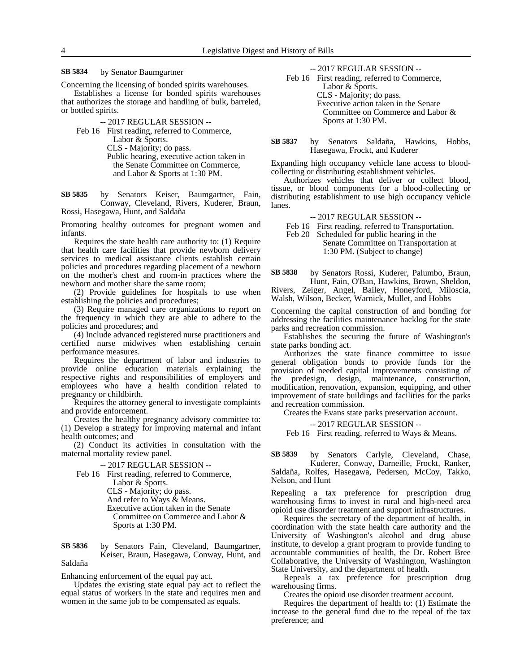by Senator Baumgartner **SB 5834**

Concerning the licensing of bonded spirits warehouses.

Establishes a license for bonded spirits warehouses that authorizes the storage and handling of bulk, barreled, or bottled spirits.

-- 2017 REGULAR SESSION --

Feb 16 First reading, referred to Commerce, Labor & Sports. CLS - Majority; do pass. Public hearing, executive action taken in the Senate Committee on Commerce, and Labor & Sports at 1:30 PM.

by Senators Keiser, Baumgartner, Fain, Conway, Cleveland, Rivers, Kuderer, Braun, Rossi, Hasegawa, Hunt, and Saldaña **SB 5835**

Promoting healthy outcomes for pregnant women and infants.

Requires the state health care authority to: (1) Require that health care facilities that provide newborn delivery services to medical assistance clients establish certain policies and procedures regarding placement of a newborn on the mother's chest and room-in practices where the newborn and mother share the same room;

(2) Provide guidelines for hospitals to use when establishing the policies and procedures;

(3) Require managed care organizations to report on the frequency in which they are able to adhere to the policies and procedures; and

(4) Include advanced registered nurse practitioners and certified nurse midwives when establishing certain performance measures.

Requires the department of labor and industries to provide online education materials explaining the respective rights and responsibilities of employers and employees who have a health condition related to pregnancy or childbirth.

Requires the attorney general to investigate complaints and provide enforcement.

Creates the healthy pregnancy advisory committee to: (1) Develop a strategy for improving maternal and infant health outcomes; and

(2) Conduct its activities in consultation with the maternal mortality review panel.

### -- 2017 REGULAR SESSION --

Feb 16 First reading, referred to Commerce, Labor & Sports. CLS - Majority; do pass. And refer to Ways & Means. Executive action taken in the Senate Committee on Commerce and Labor & Sports at 1:30 PM.

### by Senators Fain, Cleveland, Baumgartner, Keiser, Braun, Hasegawa, Conway, Hunt, and Saldaña **SB 5836**

Enhancing enforcement of the equal pay act.

Updates the existing state equal pay act to reflect the equal status of workers in the state and requires men and women in the same job to be compensated as equals.

-- 2017 REGULAR SESSION --

Feb 16 First reading, referred to Commerce, Labor & Sports. CLS - Majority; do pass. Executive action taken in the Senate Committee on Commerce and Labor & Sports at 1:30 PM.

by Senators Saldaña, Hawkins, Hobbs, Hasegawa, Frockt, and Kuderer **SB 5837**

Expanding high occupancy vehicle lane access to bloodcollecting or distributing establishment vehicles.

Authorizes vehicles that deliver or collect blood, tissue, or blood components for a blood-collecting or distributing establishment to use high occupancy vehicle lanes.

### -- 2017 REGULAR SESSION --

Feb 16 First reading, referred to Transportation. Feb 20 Scheduled for public hearing in the

Senate Committee on Transportation at 1:30 PM. (Subject to change)

by Senators Rossi, Kuderer, Palumbo, Braun, Hunt, Fain, O'Ban, Hawkins, Brown, Sheldon, Rivers, Zeiger, Angel, Bailey, Honeyford, Miloscia, Walsh, Wilson, Becker, Warnick, Mullet, and Hobbs **SB 5838**

Concerning the capital construction of and bonding for addressing the facilities maintenance backlog for the state parks and recreation commission.

Establishes the securing the future of Washington's state parks bonding act.

Authorizes the state finance committee to issue general obligation bonds to provide funds for the provision of needed capital improvements consisting of the predesign, design, maintenance, construction, modification, renovation, expansion, equipping, and other improvement of state buildings and facilities for the parks and recreation commission.

Creates the Evans state parks preservation account.

-- 2017 REGULAR SESSION --

Feb 16 First reading, referred to Ways & Means.

by Senators Carlyle, Cleveland, Chase, **SB 5839**

Kuderer, Conway, Darneille, Frockt, Ranker, Saldaña, Rolfes, Hasegawa, Pedersen, McCoy, Takko, Nelson, and Hunt

Repealing a tax preference for prescription drug warehousing firms to invest in rural and high-need area opioid use disorder treatment and support infrastructures.

Requires the secretary of the department of health, in coordination with the state health care authority and the University of Washington's alcohol and drug abuse institute, to develop a grant program to provide funding to accountable communities of health, the Dr. Robert Bree Collaborative, the University of Washington, Washington State University, and the department of health.

Repeals a tax preference for prescription drug warehousing firms.

Creates the opioid use disorder treatment account.

Requires the department of health to: (1) Estimate the increase to the general fund due to the repeal of the tax preference; and